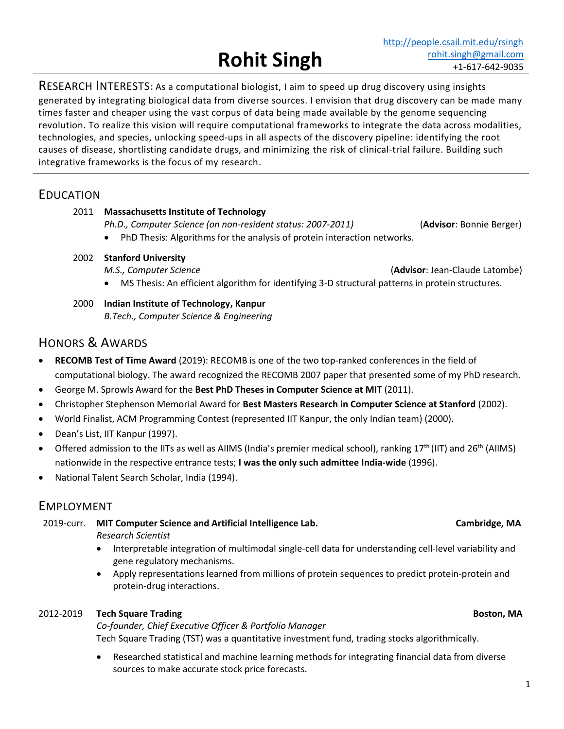RESEARCH INTERESTS**:** As a computational biologist, I aim to speed up drug discovery using insights generated by integrating biological data from diverse sources. I envision that drug discovery can be made many times faster and cheaper using the vast corpus of data being made available by the genome sequencing revolution. To realize this vision will require computational frameworks to integrate the data across modalities, technologies, and species, unlocking speed-ups in all aspects of the discovery pipeline: identifying the root causes of disease, shortlisting candidate drugs, and minimizing the risk of clinical-trial failure. Building such integrative frameworks is the focus of my research.

 **Rohit Singh**

# EDUCATION

### 2011 **Massachusetts Institute of Technology**

- *Ph.D., Computer Science (on non-resident status: 2007-2011)* (**Advisor**: Bonnie Berger)
- PhD Thesis: Algorithms for the analysis of protein interaction networks.
- 2002 **Stanford University** 
	-

*M.S., Computer Science* (**Advisor**: Jean-Claude Latombe)

- MS Thesis: An efficient algorithm for identifying 3-D structural patterns in protein structures.
- 2000 **Indian Institute of Technology, Kanpur**  *B.Tech., Computer Science & Engineering*

# HONORS & AWARDS

- **RECOMB Test of Time Award** (2019): RECOMB is one of the two top-ranked conferences in the field of computational biology. The award recognized the RECOMB 2007 paper that presented some of my PhD research.
- George M. Sprowls Award for the **Best PhD Theses in Computer Science at MIT** (2011).
- Christopher Stephenson Memorial Award for **Best Masters Research in Computer Science at Stanford** (2002).
- World Finalist, ACM Programming Contest (represented IIT Kanpur, the only Indian team) (2000).
- Dean's List, IIT Kanpur (1997).
- Offered admission to the IITs as well as AIIMS (India's premier medical school), ranking  $17<sup>th</sup>$  (IIT) and  $26<sup>th</sup>$  (AIIMS) nationwide in the respective entrance tests; **I was the only such admittee India-wide** (1996).
- National Talent Search Scholar, India (1994).

# EMPLOYMENT

2019-curr. **MIT Computer Science and Artificial Intelligence Lab. Cambridge, MA**

*Research Scientist* 

- Interpretable integration of multimodal single-cell data for understanding cell-level variability and gene regulatory mechanisms.
- Apply representations learned from millions of protein sequences to predict protein-protein and protein-drug interactions.

# 2012-2019 **Tech Square Trading Boston, MA**

*Co-founder, Chief Executive Officer & Portfolio Manager* Tech Square Trading (TST) was a quantitative investment fund, trading stocks algorithmically.

• Researched statistical and machine learning methods for integrating financial data from diverse sources to make accurate stock price forecasts.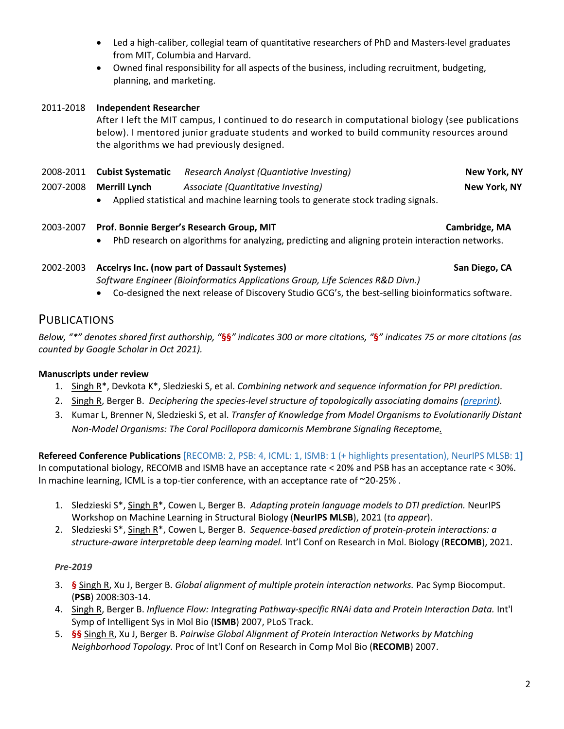- Led a high-caliber, collegial team of quantitative researchers of PhD and Masters-level graduates from MIT, Columbia and Harvard.
- Owned final responsibility for all aspects of the business, including recruitment, budgeting, planning, and marketing.

### 2011-2018 **Independent Researcher**

After I left the MIT campus, I continued to do research in computational biology (see publications below). I mentored junior graduate students and worked to build community resources around the algorithms we had previously designed.

| 2008-2011 Cubist Systematic                                                       | Research Analyst (Quantiative Investing) | New York, NY |
|-----------------------------------------------------------------------------------|------------------------------------------|--------------|
| 2007-2008 Merrill Lynch                                                           | Associate (Quantitative Investing)       | New York, NY |
| Applied statistical and machine learning tools to generate stock trading signals. |                                          |              |

### 2003-2007 **Prof. Bonnie Berger's Research Group, MIT Cambridge, MA**

• PhD research on algorithms for analyzing, predicting and aligning protein interaction networks.

# 2002-2003 **Accelrys Inc. (now part of Dassault Systemes) San Diego, CA**

*Software Engineer (Bioinformatics Applications Group, Life Sciences R&D Divn.)* 

• Co-designed the next release of Discovery Studio GCG's, the best-selling bioinformatics software.

## **PUBLICATIONS**

*Below, "\*" denotes shared first authorship, "***§§***" indicates 300 or more citations, "***§***" indicates 75 or more citations (as counted by Google Scholar in Oct 2021).*

### **Manuscripts under review**

- 1. Singh R\*, Devkota K\*, Sledzieski S, et al. *Combining network and sequence information for PPI prediction.*
- 2. Singh R, Berger B. *Deciphering the species-level structure of topologically associating domains [\(preprint\)](https://www.biorxiv.org/content/10.1101/2021.10.28.466333).*
- 3. Kumar L, Brenner N, Sledzieski S, et al. *Transfer of Knowledge from Model Organisms to Evolutionarily Distant Non-Model Organisms: The Coral Pocillopora damicornis Membrane Signaling Receptome.*

**Refereed Conference Publications [**RECOMB: 2, PSB: 4, ICML: 1, ISMB: 1 (+ highlights presentation), NeurIPS MLSB: 1**]** In computational biology, RECOMB and ISMB have an acceptance rate < 20% and PSB has an acceptance rate < 30%. In machine learning, ICML is a top-tier conference, with an acceptance rate of ~20-25%.

- 1. Sledzieski S\*, Singh R\*, Cowen L, Berger B. *Adapting protein language models to DTI prediction.* NeurIPS Workshop on Machine Learning in Structural Biology (**NeurIPS MLSB**), 2021 (*to appear*).
- 2. Sledzieski S\*, Singh R\*, Cowen L, Berger B. *Sequence-based prediction of protein-protein interactions: a structure-aware interpretable deep learning model.* Int'l Conf on Research in Mol. Biology (**RECOMB**), 2021.

### *Pre-2019*

- 3. **§** Singh R, Xu J, Berger B. *Global alignment of multiple protein interaction networks.* Pac Symp Biocomput. (**PSB**) 2008:303-14.
- 4. Singh R, Berger B. *Influence Flow: Integrating Pathway-specific RNAi data and Protein Interaction Data.* Int'l Symp of Intelligent Sys in Mol Bio (**ISMB**) 2007, PLoS Track.
- 5. **§§** Singh R, Xu J, Berger B. *Pairwise Global Alignment of Protein Interaction Networks by Matching Neighborhood Topology.* Proc of Int'l Conf on Research in Comp Mol Bio (**RECOMB**) 2007.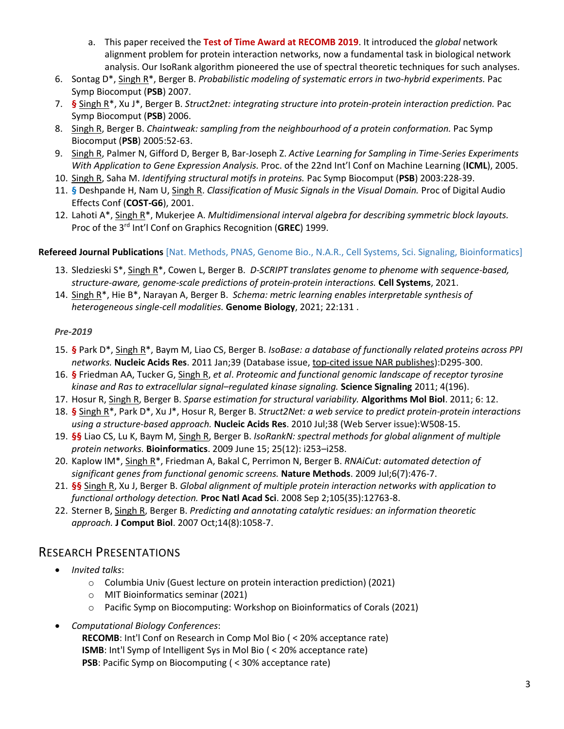- a. This paper received the **Test of Time Award at RECOMB 2019**. It introduced the *global* network alignment problem for protein interaction networks, now a fundamental task in biological network analysis. Our IsoRank algorithm pioneered the use of spectral theoretic techniques for such analyses.
- 6. Sontag D\*, Singh R\*, Berger B. *Probabilistic modeling of systematic errors in two-hybrid experiments.* Pac Symp Biocomput (**PSB**) 2007.
- 7. **§** Singh R\*, Xu J\*, Berger B. *Struct2net: integrating structure into protein-protein interaction prediction.* Pac Symp Biocomput (**PSB**) 2006.
- 8. Singh R, Berger B. *Chaintweak: sampling from the neighbourhood of a protein conformation.* Pac Symp Biocomput (**PSB**) 2005:52-63.
- 9. Singh R, Palmer N, Gifford D, Berger B, Bar-Joseph Z. *Active Learning for Sampling in Time-Series Experiments With Application to Gene Expression Analysis.* Proc. of the 22nd Int'l Conf on Machine Learning (**ICML**), 2005.
- 10. Singh R, Saha M. *Identifying structural motifs in proteins.* Pac Symp Biocomput (**PSB**) 2003:228-39.
- 11. **§** Deshpande H, Nam U, Singh R. *Classification of Music Signals in the Visual Domain.* Proc of Digital Audio Effects Conf (**COST-G6**), 2001.
- 12. Lahoti A\*, Singh R\*, Mukerjee A. *Multidimensional interval algebra for describing symmetric block layouts.* Proc of the 3rd Int'l Conf on Graphics Recognition (**GREC**) 1999.

### **Refereed Journal Publications** [Nat. Methods, PNAS, Genome Bio., N.A.R., Cell Systems, Sci. Signaling, Bioinformatics]

- 13. Sledzieski S\*, Singh R\*, Cowen L, Berger B. *D-SCRIPT translates genome to phenome with sequence-based, structure-aware, genome-scale predictions of protein-protein interactions.* **Cell Systems**, 2021.
- 14. Singh R\*, Hie B\*, Narayan A, Berger B. *Schema: metric learning enables interpretable synthesis of heterogeneous single-cell modalities.* **Genome Biology**, 2021; 22:131 .

### *Pre-2019*

- 15. **§** Park D\*, Singh R\*, Baym M, Liao CS, Berger B. *IsoBase: a database of functionally related proteins across PPI networks.* **Nucleic Acids Res**. 2011 Jan;39 (Database issue, top-cited issue NAR publishes):D295-300.
- 16. **§** Friedman AA, Tucker G, Singh R, *et al*. *Proteomic and functional genomic landscape of receptor tyrosine kinase and Ras to extracellular signal–regulated kinase signaling.* **Science Signaling** 2011; 4(196).
- 17. Hosur R, Singh R, Berger B. *Sparse estimation for structural variability.* **Algorithms Mol Biol**. 2011; 6: 12.
- 18. **§** Singh R\*, Park D\*, Xu J\*, Hosur R, Berger B. *Struct2Net: a web service to predict protein-protein interactions using a structure-based approach.* **Nucleic Acids Res**. 2010 Jul;38 (Web Server issue):W508-15.
- 19. **§§** Liao CS, Lu K, Baym M, Singh R, Berger B. *IsoRankN: spectral methods for global alignment of multiple protein networks.* **Bioinformatics**. 2009 June 15; 25(12): i253–i258.
- 20. Kaplow IM\*, Singh R\*, Friedman A, Bakal C, Perrimon N, Berger B. *RNAiCut: automated detection of significant genes from functional genomic screens.* **Nature Methods**. 2009 Jul;6(7):476-7.
- 21. **§§** Singh R, Xu J, Berger B. *Global alignment of multiple protein interaction networks with application to functional orthology detection.* **Proc Natl Acad Sci**. 2008 Sep 2;105(35):12763-8.
- 22. Sterner B, Singh R, Berger B. *Predicting and annotating catalytic residues: an information theoretic approach.* **J Comput Biol**. 2007 Oct;14(8):1058-7.

### RESEARCH PRESENTATIONS

- *Invited talks*:
	- o Columbia Univ (Guest lecture on protein interaction prediction) (2021)
	- o MIT Bioinformatics seminar (2021)
	- o Pacific Symp on Biocomputing: Workshop on Bioinformatics of Corals (2021)
- *Computational Biology Conferences*:
	- **RECOMB**: Int'l Conf on Research in Comp Mol Bio ( < 20% acceptance rate) **ISMB**: Int'l Symp of Intelligent Sys in Mol Bio ( < 20% acceptance rate) **PSB**: Pacific Symp on Biocomputing ( < 30% acceptance rate)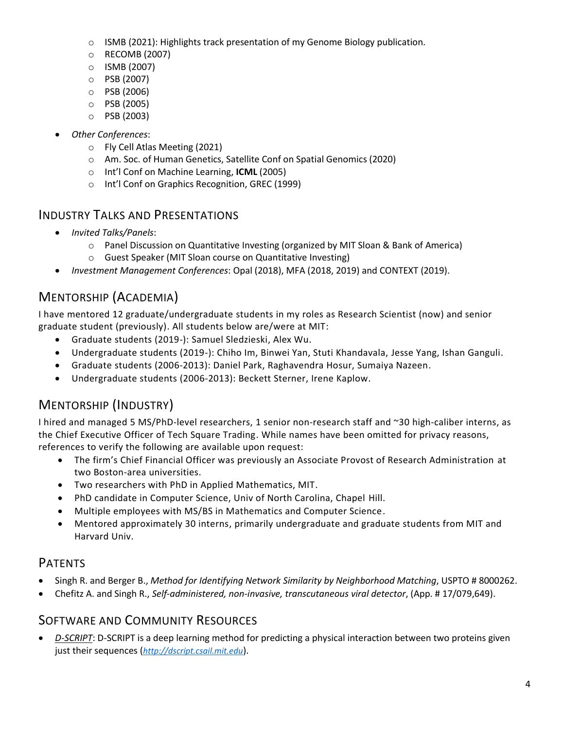- $\circ$  ISMB (2021): Highlights track presentation of my Genome Biology publication.
- o RECOMB (2007)
- o ISMB (2007)
- o PSB (2007)
- o PSB (2006)
- o PSB (2005)
- o PSB (2003)
- *Other Conferences*:
	- o Fly Cell Atlas Meeting (2021)
	- o Am. Soc. of Human Genetics, Satellite Conf on Spatial Genomics (2020)
	- o Int'l Conf on Machine Learning, **ICML** (2005)
	- o Int'l Conf on Graphics Recognition, GREC (1999)

## INDUSTRY TALKS AND PRESENTATIONS

- *Invited Talks/Panels*:
	- o Panel Discussion on Quantitative Investing (organized by MIT Sloan & Bank of America)
	- o Guest Speaker (MIT Sloan course on Quantitative Investing)
- *Investment Management Conferences*: Opal (2018), MFA (2018, 2019) and CONTEXT (2019).

# MENTORSHIP (ACADEMIA)

I have mentored 12 graduate/undergraduate students in my roles as Research Scientist (now) and senior graduate student (previously). All students below are/were at MIT:

- Graduate students (2019-): Samuel Sledzieski, Alex Wu.
- Undergraduate students (2019-): Chiho Im, Binwei Yan, Stuti Khandavala, Jesse Yang, Ishan Ganguli.
- Graduate students (2006-2013): Daniel Park, Raghavendra Hosur, Sumaiya Nazeen.
- Undergraduate students (2006-2013): Beckett Sterner, Irene Kaplow.

# MENTORSHIP (INDUSTRY)

I hired and managed 5 MS/PhD-level researchers, 1 senior non-research staff and ~30 high-caliber interns, as the Chief Executive Officer of Tech Square Trading. While names have been omitted for privacy reasons, references to verify the following are available upon request:

- The firm's Chief Financial Officer was previously an Associate Provost of Research Administration at two Boston-area universities.
- Two researchers with PhD in Applied Mathematics, MIT.
- PhD candidate in Computer Science, Univ of North Carolina, Chapel Hill.
- Multiple employees with MS/BS in Mathematics and Computer Science.
- Mentored approximately 30 interns, primarily undergraduate and graduate students from MIT and Harvard Univ.

# PATENTS

- Singh R. and Berger B., *Method for Identifying Network Similarity by Neighborhood Matching*, USPTO # 8000262.
- Chefitz A. and Singh R., *Self-administered, non-invasive, transcutaneous viral detector*, (App. # 17/079,649).

# SOFTWARE AND COMMUNITY RESOURCES

• *D-SCRIPT*: D-SCRIPT is a deep learning method for predicting a physical interaction between two proteins given just their sequences (*[http://dscript.csail.mit.edu](http://dscript.csail.mit.edu/)*).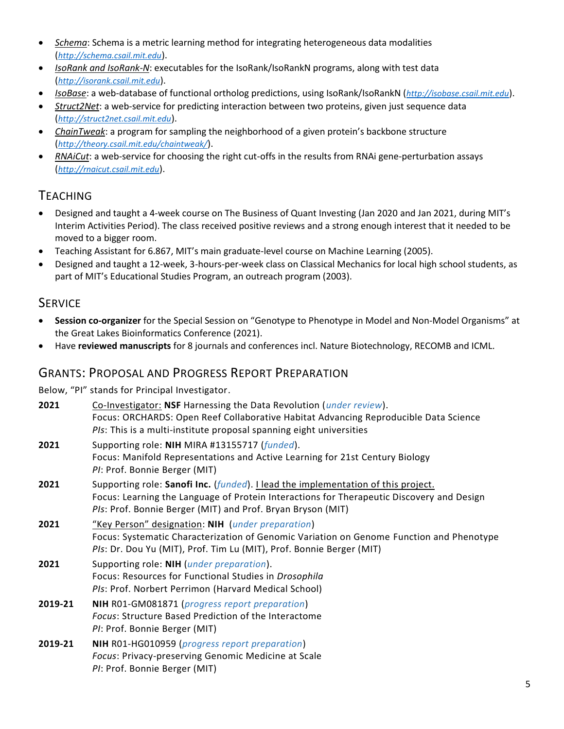- *Schema*: Schema is a metric learning method for integrating heterogeneous data modalities (*[http://schema.csail.mit.edu](http://schema.csail.mit.edu/)*).
- *IsoRank and IsoRank-N*: executables for the IsoRank/IsoRankN programs, along with test data (*[http://isorank.csail.mit.edu](http://isorank.csail.mit.edu/)*).
- *IsoBase*: a web-database of functional ortholog predictions, using IsoRank/IsoRankN (*[http://isobase.csail.mit.edu](http://isobase.csail.mit.edu/)*).
- *Struct2Net*: a web-service for predicting interaction between two proteins, given just sequence data (*[http://struct2net.csail.mit.edu](http://struct2net.csail.mit.edu/)*).
- *ChainTweak*: a program for sampling the neighborhood of a given protein's backbone structure (*[http://theory.csail.mit.edu/chaintweak/](http://struct2net.csail.mit.edu/)*).
- *RNAiCut*: a web-service for choosing the right cut-offs in the results from RNAi gene-perturbation assays (*[http://rnaicut.csail.mit.edu](http://rnaicut.csail.mit.edu/)*).

# TEACHING

- Designed and taught a 4-week course on The Business of Quant Investing (Jan 2020 and Jan 2021, during MIT's Interim Activities Period). The class received positive reviews and a strong enough interest that it needed to be moved to a bigger room.
- Teaching Assistant for 6.867, MIT's main graduate-level course on Machine Learning (2005).
- Designed and taught a 12-week, 3-hours-per-week class on Classical Mechanics for local high school students, as part of MIT's Educational Studies Program, an outreach program (2003).

## **SERVICE**

- **Session co-organizer** for the Special Session on "Genotype to Phenotype in Model and Non-Model Organisms" at the Great Lakes Bioinformatics Conference (2021).
- Have **reviewed manuscripts** for 8 journals and conferences incl. Nature Biotechnology, RECOMB and ICML.

## GRANTS: PROPOSAL AND PROGRESS REPORT PREPARATION

Below, "PI" stands for Principal Investigator.

|         | Below, PL stands for Principal investigator.                                                                                                                                                                                                 |  |
|---------|----------------------------------------------------------------------------------------------------------------------------------------------------------------------------------------------------------------------------------------------|--|
| 2021    | Co-Investigator: NSF Harnessing the Data Revolution (under review).<br>Focus: ORCHARDS: Open Reef Collaborative Habitat Advancing Reproducible Data Science<br>PIs: This is a multi-institute proposal spanning eight universities           |  |
| 2021    | Supporting role: NIH MIRA #13155717 (funded).<br>Focus: Manifold Representations and Active Learning for 21st Century Biology<br>PI: Prof. Bonnie Berger (MIT)                                                                               |  |
| 2021    | Supporting role: Sanofi Inc. (funded). Llead the implementation of this project.<br>Focus: Learning the Language of Protein Interactions for Therapeutic Discovery and Design<br>PIs: Prof. Bonnie Berger (MIT) and Prof. Bryan Bryson (MIT) |  |
| 2021    | "Key Person" designation: NIH (under preparation)<br>Focus: Systematic Characterization of Genomic Variation on Genome Function and Phenotype<br>PIs: Dr. Dou Yu (MIT), Prof. Tim Lu (MIT), Prof. Bonnie Berger (MIT)                        |  |
| 2021    | Supporting role: NIH (under preparation).<br>Focus: Resources for Functional Studies in Drosophila<br>PIs: Prof. Norbert Perrimon (Harvard Medical School)                                                                                   |  |
| 2019-21 | NIH R01-GM081871 (progress report preparation)<br><b>Focus: Structure Based Prediction of the Interactome</b><br>PI: Prof. Bonnie Berger (MIT)                                                                                               |  |
| 2019-21 | NIH R01-HG010959 (progress report preparation)<br>Focus: Privacy-preserving Genomic Medicine at Scale<br>PI: Prof. Bonnie Berger (MIT)                                                                                                       |  |